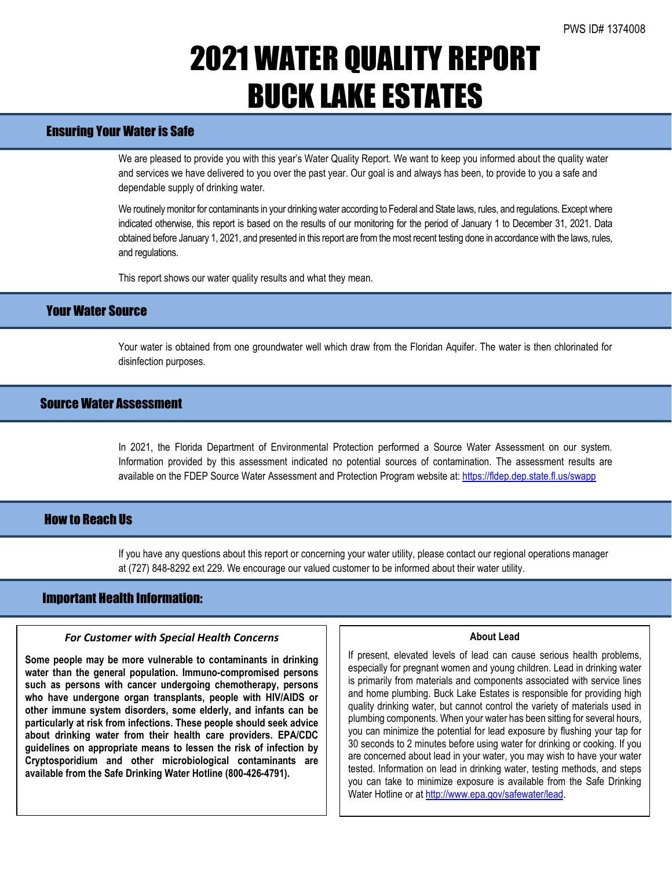# 2021 WATER QUALITY REPORT BUCK LAKE ESTATES

## Ensuring Your Water is Safe

We are pleased to provide you with this year's Water Quality Report. We want to keep you informed about the quality water and services we have delivered to you over the past year. Our goal is and always has been, to provide to you a safe and dependable supply of drinking water.

We routinely monitor for contaminants in your drinking water according to Federal and State laws, rules, and regulations. Except where indicated otherwise, this report is based on the results of our monitoring for the period of January 1 to December 31, 2021. Data obtained before January 1, 2021, and presented in this report are from the most recent testing done in accordance with the laws, rules, and regulations.

This report shows our water quality results and what they mean.

## Your Water Source

Your water is obtained from one groundwater well which draw from the Floridan Aquifer. The water is then chlorinated for disinfection purposes.

## Source Water Assessment

In 2021, the Florida Department of Environmental Protection performed a Source Water Assessment on our system. Information provided by this assessment indicated no potential sources of contamination. The assessment results are available on the FDEP Source Water Assessment and Protection Program website at: <https://fldep.dep.state.fl.us/swapp>

### **How to Reach IIs**

If you have any questions about this report or concerning your water utility, please contact our regional operations manager at (727) 848-8292 ext 229. We encourage our valued customer to be informed about their water utility.

### Important Health Information:

l

#### *For Customer with Special Health Concerns*

**Some people may be more vulnerable to contaminants in drinking water than the general population. Immuno-compromised persons such as persons with cancer undergoing chemotherapy, persons who have undergone organ transplants, people with HIV/AIDS or other immune system disorders, some elderly, and infants can be particularly at risk from infections. These people should seek advice about drinking water from their health care providers. EPA/CDC guidelines on appropriate means to lessen the risk of infection by Cryptosporidium and other microbiological contaminants are available from the Safe Drinking Water Hotline (800-426-4791).**

#### **About Lead**

If present, elevated levels of lead can cause serious health problems, especially for pregnant women and young children. Lead in drinking water is primarily from materials and components associated with service lines and home plumbing. Buck Lake Estates is responsible for providing high quality drinking water, but cannot control the variety of materials used in plumbing components. When your water has been sitting for several hours, you can minimize the potential for lead exposure by flushing your tap for 30 seconds to 2 minutes before using water for drinking or cooking. If you are concerned about lead in your water, you may wish to have your water tested. Information on lead in drinking water, testing methods, and steps you can take to minimize exposure is available from the Safe Drinking Water Hotline or at [http://www.epa.gov/safewater/lead.](http://www.epa.gov/safewater/lead)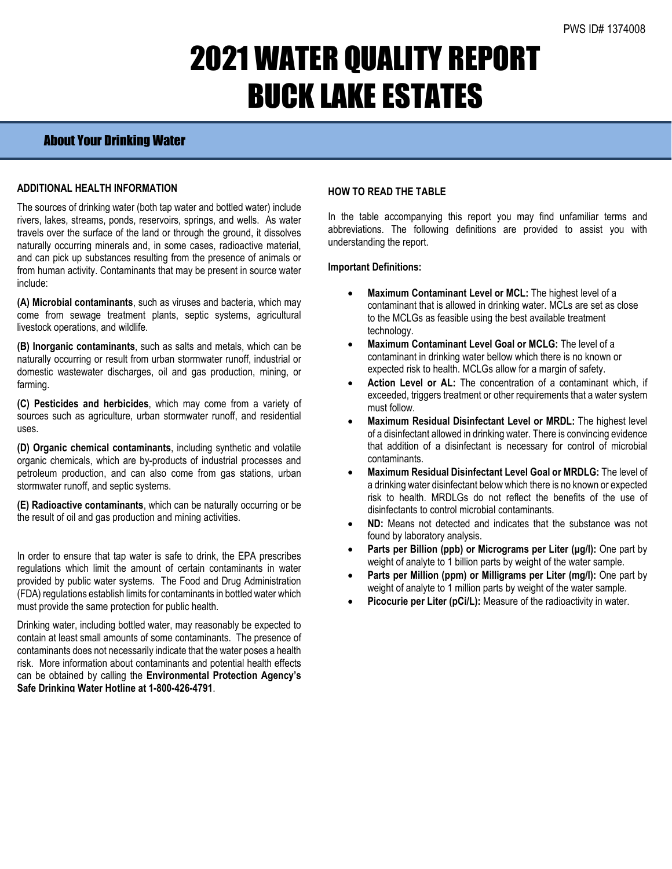# 2021 WATER QUALITY REPORT BUCK LAKE ESTATES

## About Your Drinking Water

### **ADDITIONAL HEALTH INFORMATION**

The sources of drinking water (both tap water and bottled water) include rivers, lakes, streams, ponds, reservoirs, springs, and wells. As water travels over the surface of the land or through the ground, it dissolves naturally occurring minerals and, in some cases, radioactive material, and can pick up substances resulting from the presence of animals or from human activity. Contaminants that may be present in source water include:

**(A) Microbial contaminants**, such as viruses and bacteria, which may come from sewage treatment plants, septic systems, agricultural livestock operations, and wildlife.

**(B) Inorganic contaminants**, such as salts and metals, which can be naturally occurring or result from urban stormwater runoff, industrial or domestic wastewater discharges, oil and gas production, mining, or farming.

**(C) Pesticides and herbicides**, which may come from a variety of sources such as agriculture, urban stormwater runoff, and residential uses.

**(D) Organic chemical contaminants**, including synthetic and volatile organic chemicals, which are by-products of industrial processes and petroleum production, and can also come from gas stations, urban stormwater runoff, and septic systems.

**(E) Radioactive contaminants**, which can be naturally occurring or be the result of oil and gas production and mining activities.

In order to ensure that tap water is safe to drink, the EPA prescribes regulations which limit the amount of certain contaminants in water provided by public water systems. The Food and Drug Administration (FDA) regulations establish limits for contaminants in bottled water which must provide the same protection for public health.

Drinking water, including bottled water, may reasonably be expected to contain at least small amounts of some contaminants. The presence of contaminants does not necessarily indicate that the water poses a health risk. More information about contaminants and potential health effects can be obtained by calling the **Environmental Protection Agency's Safe Drinking Water Hotline at 1-800-426-4791**.

### **HOW TO READ THE TABLE**

In the table accompanying this report you may find unfamiliar terms and abbreviations. The following definitions are provided to assist you with understanding the report.

#### **Important Definitions:**

- **Maximum Contaminant Level or MCL:** The highest level of a contaminant that is allowed in drinking water. MCLs are set as close to the MCLGs as feasible using the best available treatment technology.
- **Maximum Contaminant Level Goal or MCLG:** The level of a contaminant in drinking water bellow which there is no known or expected risk to health. MCLGs allow for a margin of safety.
- Action Level or AL: The concentration of a contaminant which, if exceeded, triggers treatment or other requirements that a water system must follow.
- **Maximum Residual Disinfectant Level or MRDL:** The highest level of a disinfectant allowed in drinking water. There is convincing evidence that addition of a disinfectant is necessary for control of microbial contaminants.
- **Maximum Residual Disinfectant Level Goal or MRDLG:** The level of a drinking water disinfectant below which there is no known or expected risk to health. MRDLGs do not reflect the benefits of the use of disinfectants to control microbial contaminants.
- **ND:** Means not detected and indicates that the substance was not found by laboratory analysis.
- **Parts per Billion (ppb) or Micrograms per Liter (μg/l):** One part by weight of analyte to 1 billion parts by weight of the water sample.
- **Parts per Million (ppm) or Milligrams per Liter (mg/l):** One part by weight of analyte to 1 million parts by weight of the water sample.
- **Picocurie per Liter (pCi/L):** Measure of the radioactivity in water.